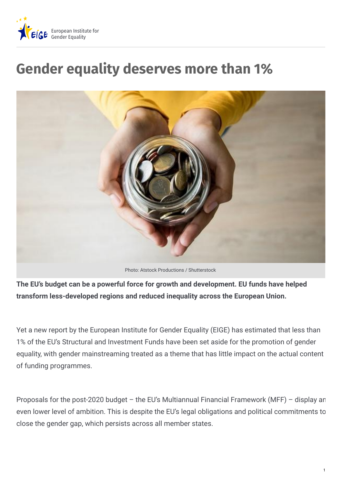

## **Gender equality deserves more than 1%**



Photo: Atstock Productions / Shutterstock

**The EU's budget can be a powerful force for growth and development. EU funds have helped transform less-developed regions and reduced inequality across the European Union.**

Yet a new report by the European Institute for Gender Equality (EIGE) has estimated that less than 1% of the EU's Structural and Investment Funds have been set aside for the promotion of gender equality, with gender mainstreaming treated as a theme that has little impact on the actual content of funding programmes.

Proposals for the post-2020 budget – the EU's Multiannual Financial Framework (MFF) – display an even lower level of ambition. This is despite the EU's legal obligations and political commitments to close the gender gap, which persists across all member states.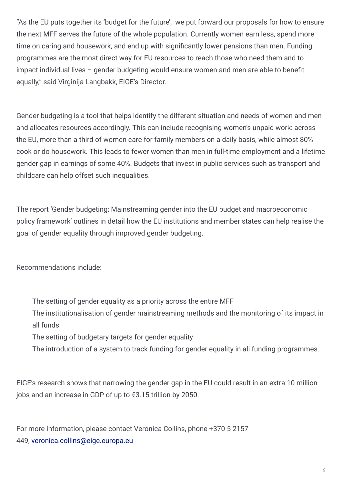"As the EU puts together its 'budget for the future', we put forward our proposals for how to ensure the next MFF serves the future of the whole population. Currently women earn less, spend more time on caring and housework, and end up with significantly lower pensions than men. Funding programmes are the most direct way for EU resources to reach those who need them and to  $impact$  individual lives – gender budgeting would ensure women and men are able to benefit equally," said Virginija Langbakk, EIGE's Director.

Gender budgeting is a tool that helps identify the different situation and needs of women and men and allocates resources accordingly. This can include recognising women's unpaid work: across the EU, more than a third of women care for family members on a daily basis, while almost 80% cook or do housework. This leads to fewer women than men in full-time employment and a lifetime gender gap in earnings of some 40%. Budgets that invest in public services such as transport and childcare can help offset such inequalities.

The report 'Gender budgeting: Mainstreaming gender into the EU budget and macroeconomic policy framework' outlines in detail how the EU institutions and member states can help realise the goal of gender equality through improved gender budgeting.

Recommendations include:

The setting of gender equality as a priority across the entire MFF

The institutionalisation of gender mainstreaming methods and the monitoring of its impact in all funds

The setting of budgetary targets for gender equality

The introduction of a system to track funding for gender equality in all funding programmes.

EIGE's research shows that narrowing the gender gap in the EU could result in an extra 10 million jobs and an increase in GDP of up to €3.15 trillion by 2050.

For more information, please contact Veronica Collins, phone +370 5 2157 449, [veronica.collins@eige.europa.eu](mailto:veronica.collins@eige.europa.eu)